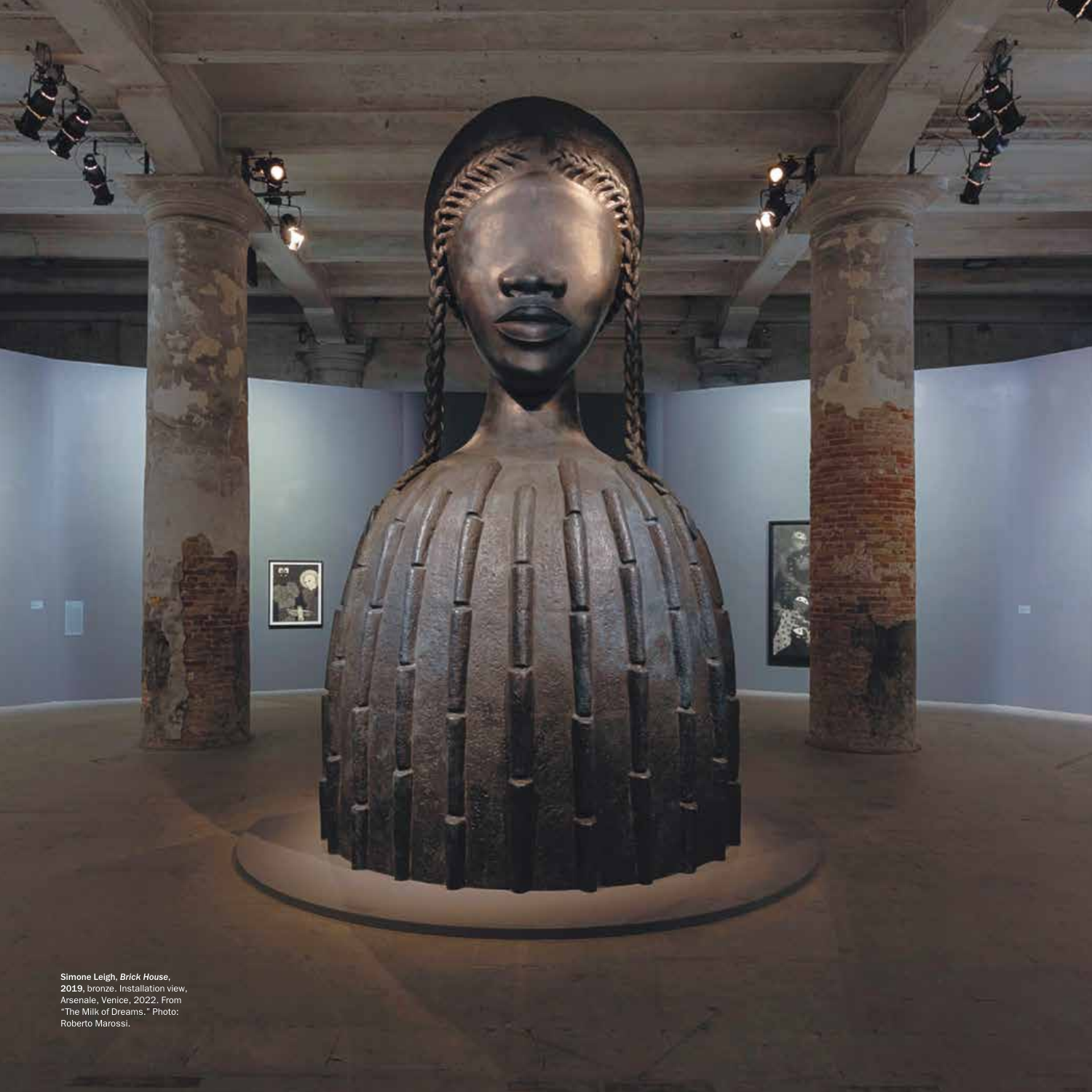**Simone Leigh,** *Brick House***,**<br>**2019,** bronze. Installation view,<br>Arsenale, Venice, 2022. From "The Milk of Dreams." Photo: Roberto Marossi.

œ

۰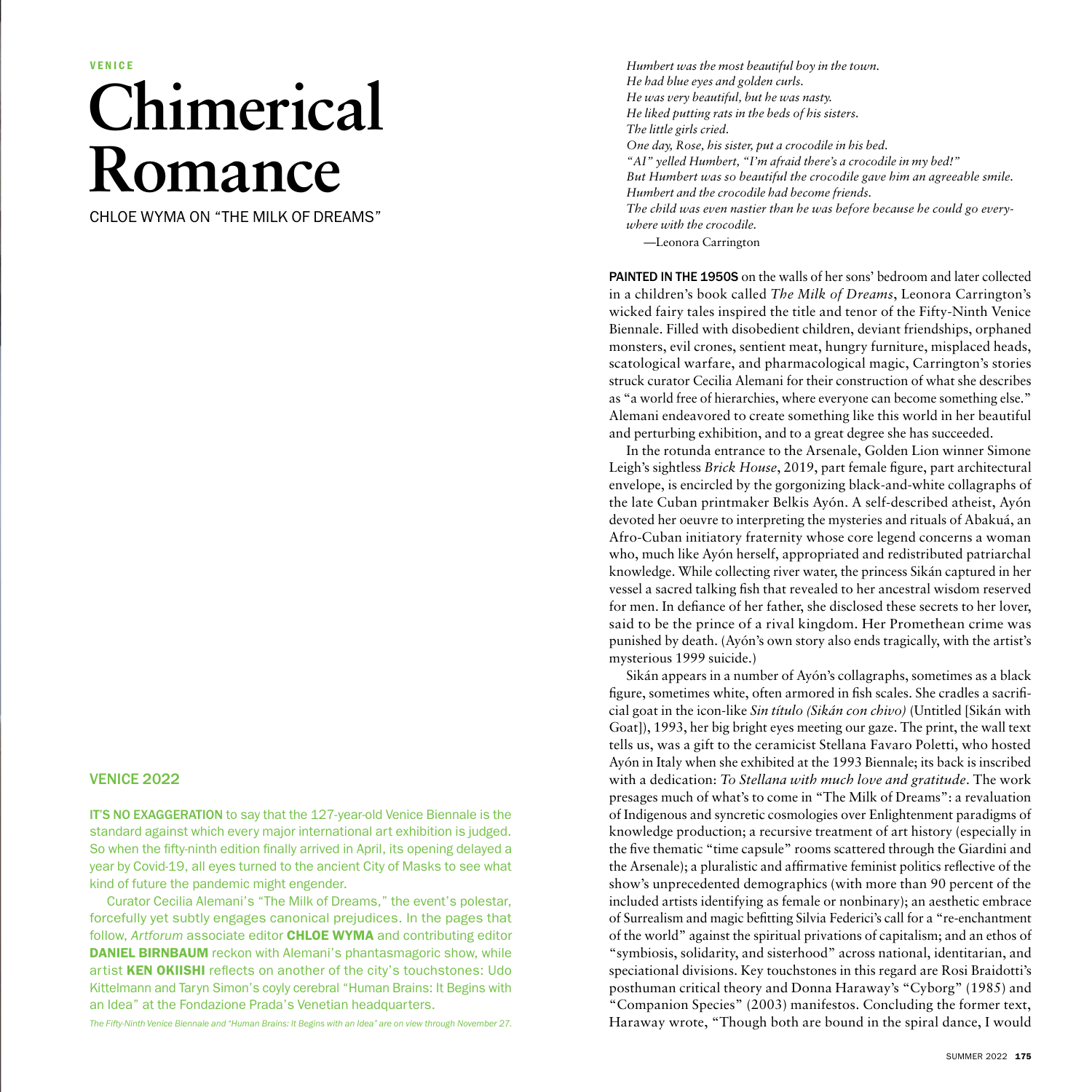## **Chimerical Romance**

CHLOE WYMA ON "THE MILK OF DREAMS"

## VENICE 2022

IT'S NO EXAGGERATION to say that the 127-year-old Venice Biennale is the standard against which every major international art exhibition is judged. So when the fifty-ninth edition finally arrived in April, its opening delayed a year by Covid-19, all eyes turned to the ancient City of Masks to see what kind of future the pandemic might engender.

Curator Cecilia Alemani's "The Milk of Dreams," the event's polestar, forcefully yet subtly engages canonical prejudices. In the pages that follow, *Artforum* associate editor CHLOE WYMA and contributing editor **DANIEL BIRNBAUM** reckon with Alemani's phantasmagoric show, while artist KEN OKIISHI reflects on another of the city's touchstones: Udo Kittelmann and Taryn Simon's coyly cerebral "Human Brains: It Begins with an Idea" at the Fondazione Prada's Venetian headquarters.

*The Fifty-Ninth Venice Biennale and "Human Brains: It Begins with an Idea" are on view through November 27.*

*Humbert was the most beautiful boy in the town. He had blue eyes and golden curls. He was very beautiful, but he was nasty. He liked putting rats in the beds of his sisters. The little girls cried. One day, Rose, his sister, put a crocodile in his bed. "AI" yelled Humbert, "I'm afraid there's a crocodile in my bed!" But Humbert was so beautiful the crocodile gave him an agreeable smile. Humbert and the crocodile had become friends. The child was even nastier than he was before because he could go everywhere with the crocodile.*

—Leonora Carrington

PAINTED IN THE 1950S on the walls of her sons' bedroom and later collected in a children's book called *The Milk of Dreams*, Leonora Carrington's wicked fairy tales inspired the title and tenor of the Fifty-Ninth Venice Biennale. Filled with disobedient children, deviant friendships, orphaned monsters, evil crones, sentient meat, hungry furniture, misplaced heads, scatological warfare, and pharmacological magic, Carrington's stories struck curator Cecilia Alemani for their construction of what she describes as "a world free of hierarchies, where everyone can become something else." Alemani endeavored to create something like this world in her beautiful and perturbing exhibition, and to a great degree she has succeeded.

In the rotunda entrance to the Arsenale, Golden Lion winner Simone Leigh's sightless *Brick House*, 2019, part female figure, part architectural envelope, is encircled by the gorgonizing black-and-white collagraphs of the late Cuban printmaker Belkis Ayón. A self-described atheist, Ayón devoted her oeuvre to interpreting the mysteries and rituals of Abakuá, an Afro-Cuban initiatory fraternity whose core legend concerns a woman who, much like Ayón herself, appropriated and redistributed patriarchal knowledge. While collecting river water, the princess Sikán captured in her vessel a sacred talking fish that revealed to her ancestral wisdom reserved for men. In defiance of her father, she disclosed these secrets to her lover, said to be the prince of a rival kingdom. Her Promethean crime was punished by death. (Ayón's own story also ends tragically, with the artist's mysterious 1999 suicide.)

Sikán appears in a number of Ayón's collagraphs, sometimes as a black figure, sometimes white, often armored in fish scales. She cradles a sacrificial goat in the icon-like *Sin título (Sikán con chivo)* (Untitled [Sikán with Goat]), 1993, her big bright eyes meeting our gaze. The print, the wall text tells us, was a gift to the ceramicist Stellana Favaro Poletti, who hosted Ayón in Italy when she exhibited at the 1993 Biennale; its back is inscribed with a dedication: *To Stellana with much love and gratitude*. The work presages much of what's to come in "The Milk of Dreams": a revaluation of Indigenous and syncretic cosmologies over Enlightenment paradigms of knowledge production; a recursive treatment of art history (especially in the five thematic "time capsule" rooms scattered through the Giardini and the Arsenale); a pluralistic and affirmative feminist politics reflective of the show's unprecedented demographics (with more than 90 percent of the included artists identifying as female or nonbinary); an aesthetic embrace of Surrealism and magic befitting Silvia Federici's call for a "re-enchantment of the world" against the spiritual privations of capitalism; and an ethos of "symbiosis, solidarity, and sisterhood" across national, identitarian, and speciational divisions. Key touchstones in this regard are Rosi Braidotti's posthuman critical theory and Donna Haraway's "Cyborg" (1985) and "Companion Species" (2003) manifestos. Concluding the former text, Haraway wrote, "Though both are bound in the spiral dance, I would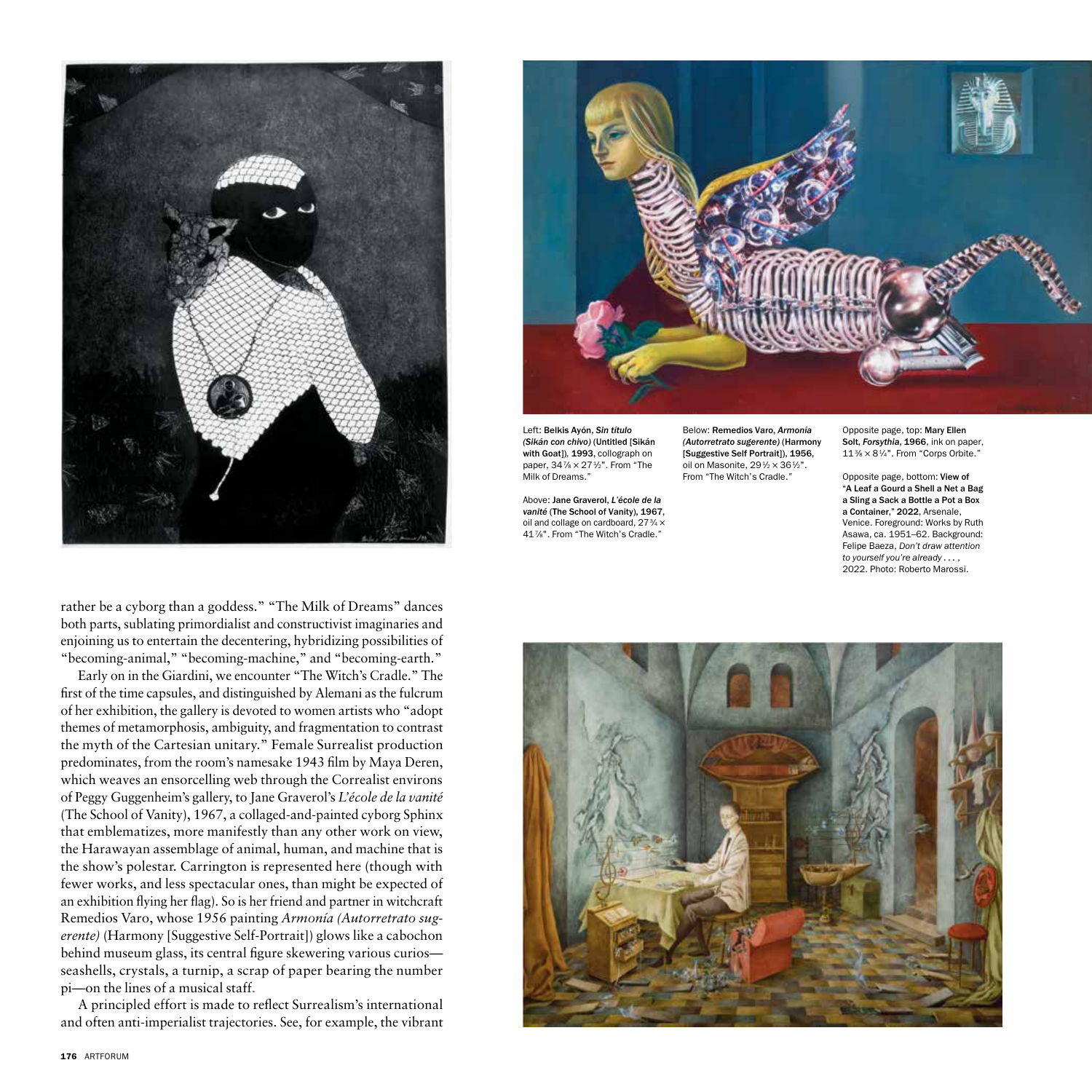

rather be a cyborg than a goddess." "The Milk of Dreams" dances both parts, sublating primordialist and constructivist imaginaries and enjoining us to entertain the decentering, hybridizing possibilities of "becoming-animal," "becoming-machine," and "becoming-earth."

Early on in the Giardini, we encounter "The Witch's Cradle." The first of the time capsules, and distinguished by Alemani as the fulcrum of her exhibition, the gallery is devoted to women artists who "adopt themes of metamorphosis, ambiguity, and fragmentation to contrast the myth of the Cartesian unitary." Female Surrealist production predominates, from the room's namesake 1943 film by Maya Deren, which weaves an ensorcelling web through the Correalist environs of Peggy Guggenheim's gallery, to Jane Graverol's *L'école de la vanité*  (The School of Vanity), 1967, a collaged-and-painted cyborg Sphinx that emblematizes, more manifestly than any other work on view, the Harawayan assemblage of animal, human, and machine that is the show's polestar. Carrington is represented here (though with fewer works, and less spectacular ones, than might be expected of an exhibition flying her flag). So is her friend and partner in witchcraft Remedios Varo, whose 1956 painting *Armonía (Autorretrato sugerente)* (Harmony [Suggestive Self-Portrait]) glows like a cabochon behind museum glass, its central figure skewering various curios seashells, crystals, a turnip, a scrap of paper bearing the number pi—on the lines of a musical staff.

A principled effort is made to reflect Surrealism's international and often anti-imperialist trajectories. See, for example, the vibrant



Left: Belkis Ayón, *Sin título (Sikán con chivo)* (Untitled [Sikán with Goat])*,* 1993, collograph on paper, 34 % × 27 1/2". From "The Milk of Dreams."

Above: Jane Graverol, *L'école de la vanité* (The School of Vanity), 1967, oil and collage on cardboard, 27 3/4 × 417⁄8". From "The Witch's Cradle."

Below: Remedios Varo, *Armonía (Autorretrato sugerente)* (Harmony [Suggestive Self Portrait]), 1956, oil on Masonite, 291/2 × 361/2". From "The Witch's Cradle."

Opposite page, top: Mary Ellen Solt, *Forsythia*, 1966, ink on paper, 113⁄8 × 81⁄4". From "Corps Orbite."

Opposite page, bottom: View of "A Leaf a Gourd a Shell a Net a Bag a Sling a Sack a Bottle a Pot a Box a Container," 2022, Arsenale, Venice. Foreground: Works by Ruth Asawa, ca. 1951–62. Background: Felipe Baeza, *Don't draw attention to yourself you're already . . .* , 2022. Photo: Roberto Marossi.

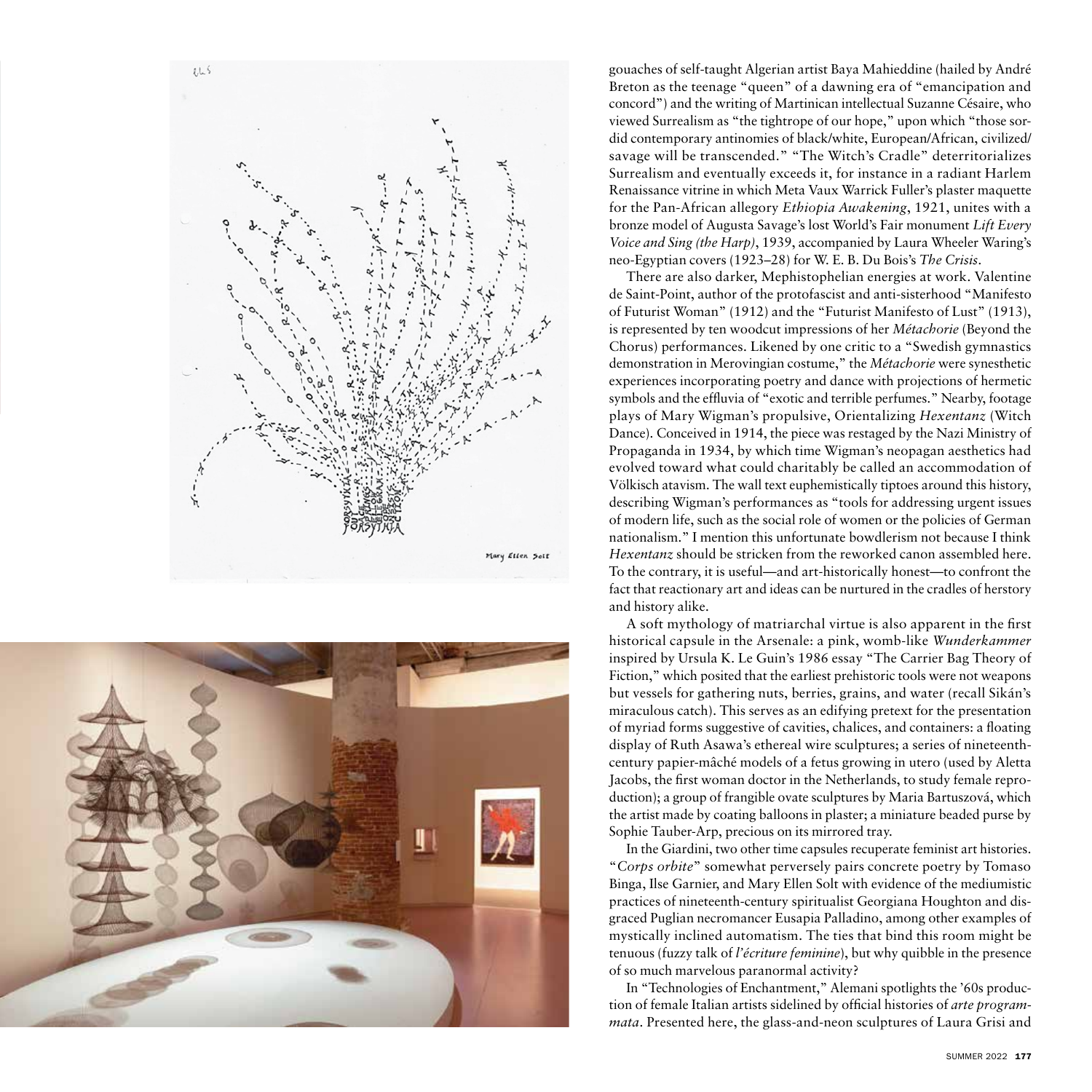



gouaches of self-taught Algerian artist Baya Mahieddine (hailed by André Breton as the teenage "queen" of a dawning era of "emancipation and concord") and the writing of Martinican intellectual Suzanne Césaire, who viewed Surrealism as "the tightrope of our hope," upon which "those sordid contemporary antinomies of black/white, European/African, civilized/ savage will be transcended." "The Witch's Cradle" deterritorializes Surrealism and eventually exceeds it, for instance in a radiant Harlem Renaissance vitrine in which Meta Vaux Warrick Fuller's plaster maquette for the Pan-African allegory *Ethiopia Awakening*, 1921, unites with a bronze model of Augusta Savage's lost World's Fair monument *Lift Every Voice and Sing (the Harp)*, 1939, accompanied by Laura Wheeler Waring's neo-Egyptian covers (1923–28) for W. E. B. Du Bois's *The Crisis*.

There are also darker, Mephistophelian energies at work. Valentine de Saint-Point, author of the protofascist and anti-sisterhood "Manifesto of Futurist Woman" (1912) and the "Futurist Manifesto of Lust" (1913), is represented by ten woodcut impressions of her *Métachorie* (Beyond the Chorus) performances. Likened by one critic to a "Swedish gymnastics demonstration in Merovingian costume," the *Métachorie* were synesthetic experiences incorporating poetry and dance with projections of hermetic symbols and the effluvia of "exotic and terrible perfumes." Nearby, footage plays of Mary Wigman's propulsive, Orientalizing *Hexentanz* (Witch Dance)*.* Conceived in 1914, the piece was restaged by the Nazi Ministry of Propaganda in 1934, by which time Wigman's neopagan aesthetics had evolved toward what could charitably be called an accommodation of Völkisch atavism. The wall text euphemistically tiptoes around this history, describing Wigman's performances as "tools for addressing urgent issues of modern life, such as the social role of women or the policies of German nationalism." I mention this unfortunate bowdlerism not because I think *Hexentanz* should be stricken from the reworked canon assembled here. To the contrary, it is useful—and art-historically honest—to confront the fact that reactionary art and ideas can be nurtured in the cradles of herstory and history alike.

A soft mythology of matriarchal virtue is also apparent in the first historical capsule in the Arsenale: a pink, womb-like *Wunderkammer* inspired by Ursula K. Le Guin's 1986 essay "The Carrier Bag Theory of Fiction," which posited that the earliest prehistoric tools were not weapons but vessels for gathering nuts, berries, grains, and water (recall Sikán's miraculous catch). This serves as an edifying pretext for the presentation of myriad forms suggestive of cavities, chalices, and containers: a floating display of Ruth Asawa's ethereal wire sculptures; a series of nineteenthcentury papier-mâché models of a fetus growing in utero (used by Aletta Jacobs, the first woman doctor in the Netherlands, to study female reproduction); a group of frangible ovate sculptures by Maria Bartuszová, which the artist made by coating balloons in plaster; a miniature beaded purse by Sophie Tauber-Arp, precious on its mirrored tray.

In the Giardini, two other time capsules recuperate feminist art histories. "*Corps orbite*" somewhat perversely pairs concrete poetry by Tomaso Binga, Ilse Garnier, and Mary Ellen Solt with evidence of the mediumistic practices of nineteenth-century spiritualist Georgiana Houghton and disgraced Puglian necromancer Eusapia Palladino, among other examples of mystically inclined automatism. The ties that bind this room might be tenuous (fuzzy talk of *l'écriture feminine*), but why quibble in the presence of so much marvelous paranormal activity?

In "Technologies of Enchantment," Alemani spotlights the '60s production of female Italian artists sidelined by official histories of *arte programmata*. Presented here, the glass-and-neon sculptures of Laura Grisi and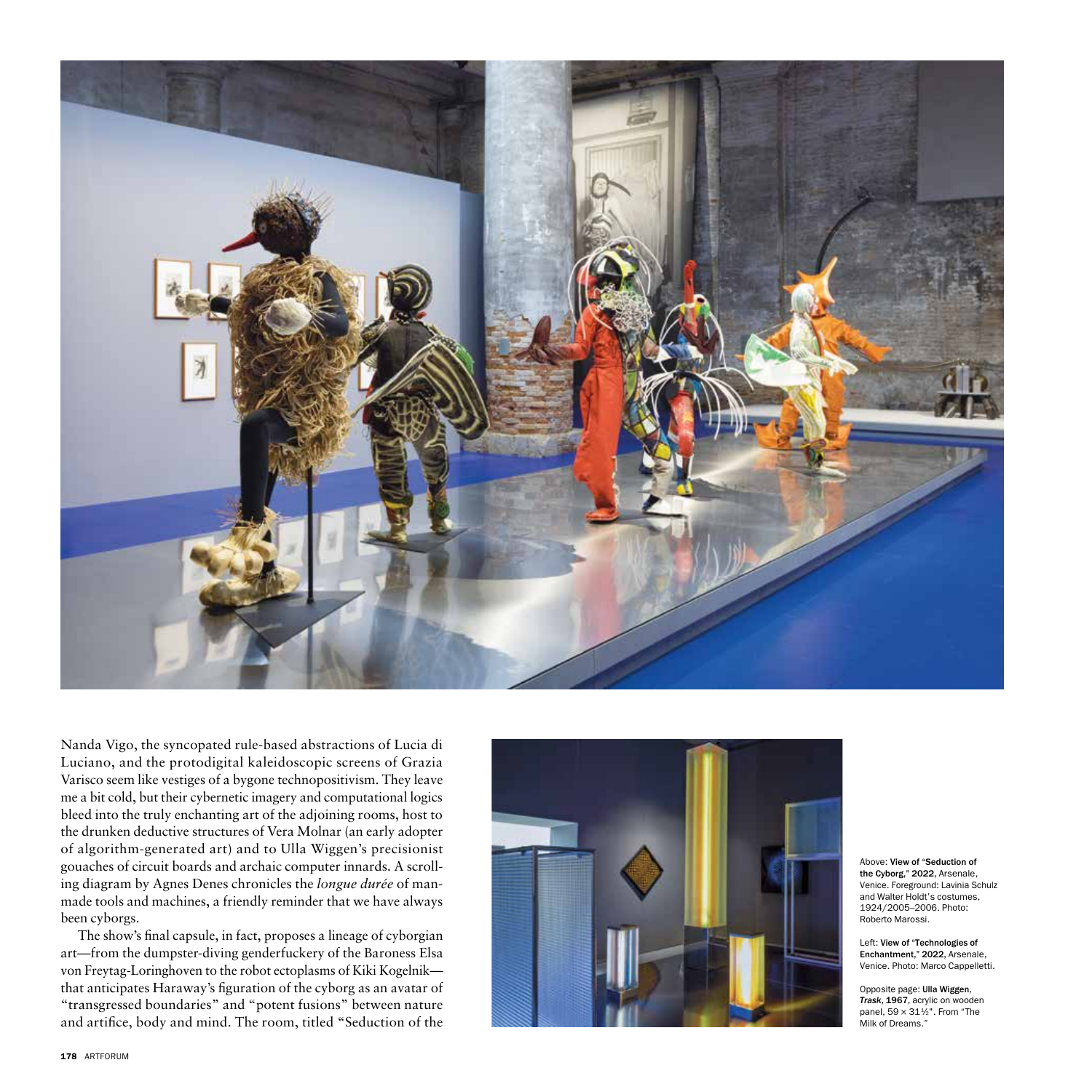

Nanda Vigo, the syncopated rule-based abstractions of Lucia di Luciano, and the protodigital kaleidoscopic screens of Grazia Varisco seem like vestiges of a bygone technopositivism. They leave me a bit cold, but their cybernetic imagery and computational logics bleed into the truly enchanting art of the adjoining rooms, host to the drunken deductive structures of Vera Molnar (an early adopter of algorithm-generated art) and to Ulla Wiggen's precisionist gouaches of circuit boards and archaic computer innards. A scroll ing diagram by Agnes Denes chronicles the *longue durée* of manmade tools and machines, a friendly reminder that we have always been cyborgs.

The show's final capsule, in fact, proposes a lineage of cyborgian art—from the dumpster-diving genderfuckery of the Baroness Elsa von Freytag-Loringhoven to the robot ectoplasms of Kiki Kogelnik that anticipates Haraway's figuration of the cyborg as an avatar of "transgressed boundaries" and "potent fusions" between nature and artifice, body and mind. The room, titled "Seduction of the



Above: View of "Seduction of the Cyborg," 2022, Arsenale, Venice. Foreground: Lavinia Schulz and Walter Holdt's costumes, 1924/2005–2006. Photo: Roberto Marossi.

Left: View of "Technologies of Enchantment," 2022, Arsenale, Venice. Photo: Marco Cappelletti.

Opposite page: Ulla Wiggen, *Trask*, 1967, acrylic on wooden panel, 59 × 31 1⁄2". From "The Milk of Dreams."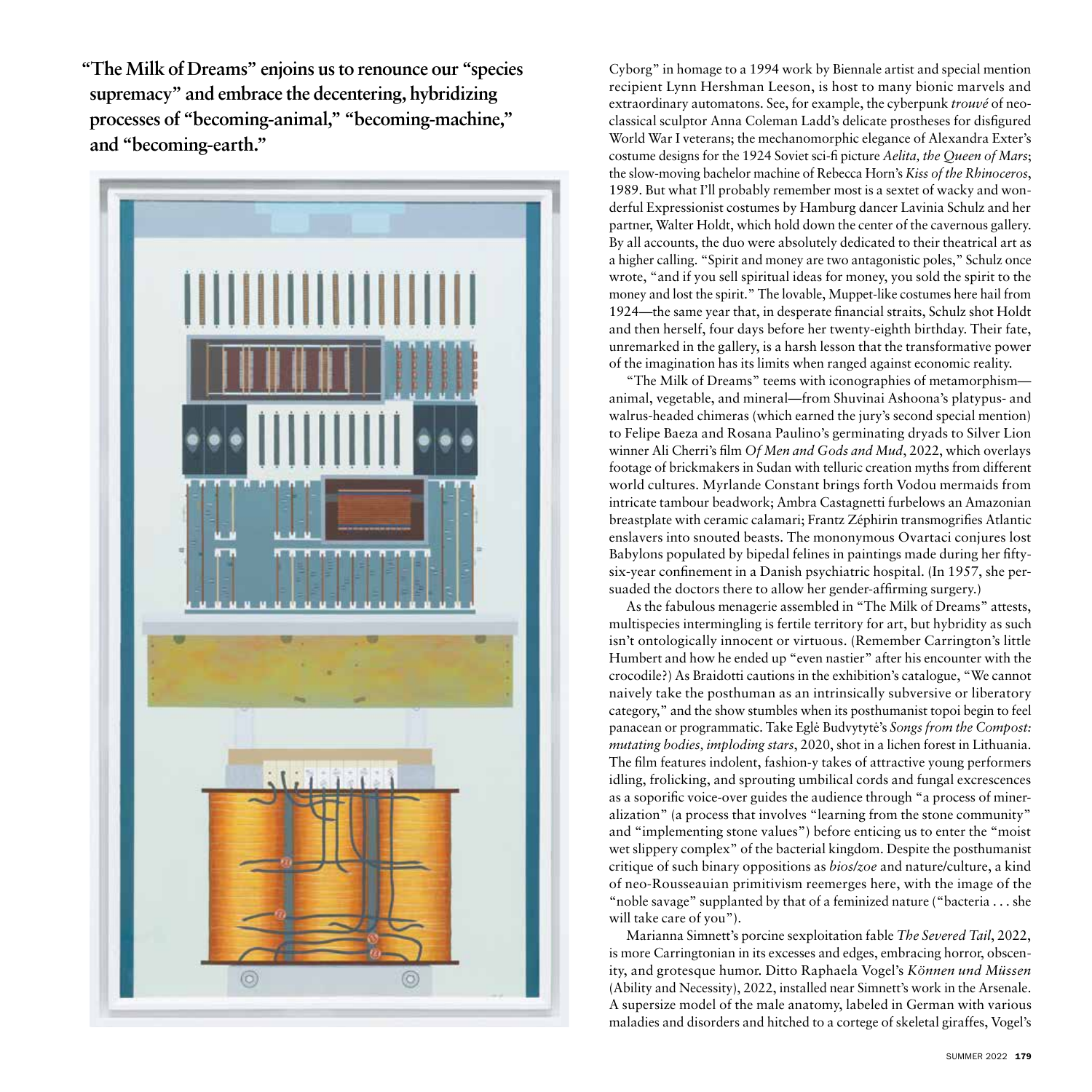**"The Milk of Dreams" enjoins us to renounce our "species supremacy" and embrace the decentering, hybridizing processes of "becoming-animal," "becoming-machine," and "becoming-earth."**



Cyborg" in homage to a 1994 work by Biennale artist and special mention recipient Lynn Hershman Leeson, is host to many bionic marvels and extraordinary automatons. See, for example, the cyberpunk *trouvé* of neoclassical sculptor Anna Coleman Ladd's delicate prostheses for disfigured World War I veterans; the mechanomorphic elegance of Alexandra Exter's costume designs for the 1924 Soviet sci-fi picture *Aelita, the Queen of Mars*; the slow-moving bachelor machine of Rebecca Horn's *Kiss of the Rhinoceros*, 1989. But what I'll probably remember most is a sextet of wacky and wonderful Expressionist costumes by Hamburg dancer Lavinia Schulz and her partner, Walter Holdt, which hold down the center of the cavernous gallery. By all accounts, the duo were absolutely dedicated to their theatrical art as a higher calling. "Spirit and money are two antagonistic poles," Schulz once wrote, "and if you sell spiritual ideas for money, you sold the spirit to the money and lost the spirit." The lovable, Muppet-like costumes here hail from 1924—the same year that, in desperate financial straits, Schulz shot Holdt and then herself, four days before her twenty-eighth birthday. Their fate, unremarked in the gallery, is a harsh lesson that the transformative power of the imagination has its limits when ranged against economic reality.

"The Milk of Dreams" teems with iconographies of metamorphism animal, vegetable, and mineral—from Shuvinai Ashoona's platypus- and walrus-headed chimeras (which earned the jury's second special mention) to Felipe Baeza and Rosana Paulino's germinating dryads to Silver Lion winner Ali Cherri's film *Of Men and Gods and Mud*, 2022, which overlays footage of brickmakers in Sudan with telluric creation myths from different world cultures. Myrlande Constant brings forth Vodou mermaids from intricate tambour beadwork; Ambra Castagnetti furbelows an Amazonian breastplate with ceramic calamari; Frantz Zéphirin transmogrifies Atlantic enslavers into snouted beasts. The mononymous Ovartaci conjures lost Babylons populated by bipedal felines in paintings made during her fiftysix-year confinement in a Danish psychiatric hospital. (In 1957, she persuaded the doctors there to allow her gender-affirming surgery.)

As the fabulous menagerie assembled in "The Milk of Dreams" attests, multispecies intermingling is fertile territory for art, but hybridity as such isn't ontologically innocent or virtuous. (Remember Carrington's little Humbert and how he ended up "even nastier" after his encounter with the crocodile?) As Braidotti cautions in the exhibition's catalogue, "We cannot naively take the posthuman as an intrinsically subversive or liberatory category," and the show stumbles when its posthumanist topoi begin to feel panacean or programmatic. Take Egle˙ Budvytyte˙'s *Songs from the Compost: mutating bodies, imploding stars*, 2020, shot in a lichen forest in Lithuania. The film features indolent, fashion-y takes of attractive young performers idling, frolicking, and sprouting umbilical cords and fungal excrescences as a soporific voice-over guides the audience through "a process of mineralization" (a process that involves "learning from the stone community" and "implementing stone values") before enticing us to enter the "moist wet slippery complex" of the bacterial kingdom. Despite the posthumanist critique of such binary oppositions as *bios/zoe* and nature/culture, a kind of neo-Rousseauian primitivism reemerges here, with the image of the "noble savage" supplanted by that of a feminized nature ("bacteria . . . she will take care of you").

Marianna Simnett's porcine sexploitation fable *The Severed Tail*, 2022, is more Carringtonian in its excesses and edges, embracing horror, obscenity, and grotesque humor. Ditto Raphaela Vogel's *Können und Müssen*  (Ability and Necessity), 2022, installed near Simnett's work in the Arsenale. A supersize model of the male anatomy, labeled in German with various maladies and disorders and hitched to a cortege of skeletal giraffes, Vogel's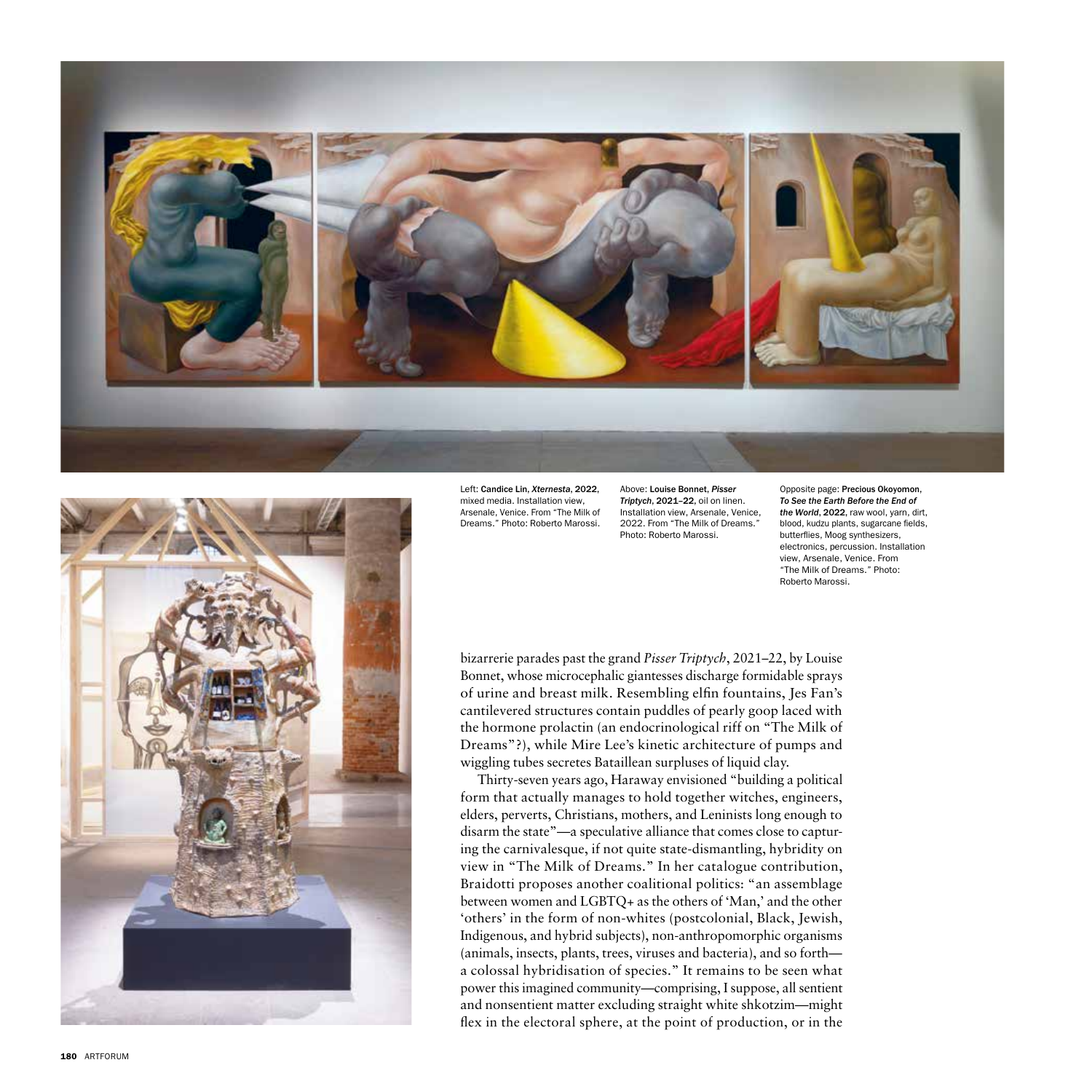



Left: Candice Lin, *Xternesta*, 2022, mixed media. Installation view, Arsenale, Venice. From "The Milk of Dreams." Photo: Roberto Marossi.

Above: Louise Bonnet, *Pisser Triptych*, 2021–22, oil on linen. Installation view, Arsenale, Venice, 2022. From "The Milk of Dreams." Photo: Roberto Marossi.

Opposite page: Precious Okoyomon, *To See the Earth Before the End of the World*, 2022, raw wool, yarn, dirt, blood, kudzu plants, sugarcane fields, butterflies, Moog synthesizers, electronics, percussion. Installation view, Arsenale, Venice. From "The Milk of Dreams." Photo: Roberto Marossi.

bizarrerie parades past the grand *Pisser Triptych* , 2021–22, by Louise Bonnet, whose microcephalic giantesses discharge formidable sprays of urine and breast milk. Resembling elfin fountains, Jes Fan's cantilevered structures contain puddles of pearly goop laced with the hormone prolactin (an endocrinological riff on "The Milk of Dreams"?), while Mire Lee's kinetic architecture of pumps and wiggling tubes secretes Bataillean surpluses of liquid clay.

Thirty-seven years ago, Haraway envisioned "building a political form that actually manages to hold together witches, engineers, elders, perverts, Christians, mothers, and Leninists long enough to disarm the state"—a speculative alliance that comes close to captur ing the carnivalesque, if not quite state-dismantling, hybridity on view in "The Milk of Dreams." In her catalogue contribution, Braidotti proposes another coalitional politics: "an assemblage between women and LGBTQ+ as the others of 'Man,' and the other 'others' in the form of non-whites (postcolonial, Black, Jewish, Indigenous, and hybrid subjects), non-anthropomorphic organisms (animals, insects, plants, trees, viruses and bacteria), and so forth a colossal hybridisation of species." It remains to be seen what power this imagined community—comprising, I suppose, all sentient and nonsentient matter excluding straight white shkotzim—might flex in the electoral sphere, at the point of production, or in the